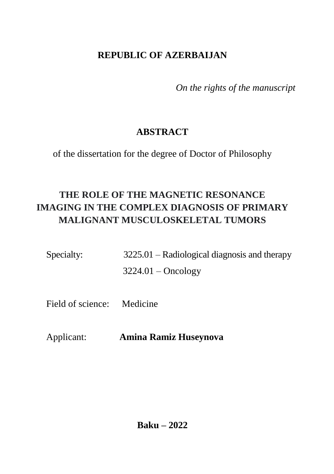# **REPUBLIC OF AZERBAIJAN**

 *On the rights of the manuscript*

# **ABSTRACT**

of the dissertation for the degree of Doctor of Philosophy

# **THE ROLE OF THE MAGNETIC RESONANCE IMAGING IN THE COMPLEX DIAGNOSIS OF PRIMARY MALIGNANT MUSCULOSKELETAL TUMORS**

| Specialty: | $3225.01$ – Radiological diagnosis and therapy |
|------------|------------------------------------------------|
|            | $3224.01 - Oncology$                           |

Field of science: Medicine

Applicant: **Amina Ramiz Huseynova**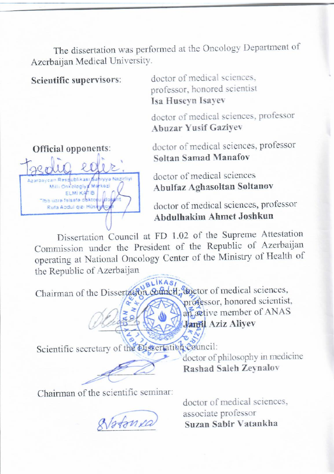The dissertation was performed at the Oncology Department of Azerbaijan Medical University.

**Scientific supervisors**: doctor of medical sciences, professor, honored scientist **Isa Huseyn Isayev**

> doctor of medical sciences, professor **Abuzar Yusif Gaziyev**



**Official opponents**: doctor of medical sciences, professor **Soltan Samad Manafov** 

> doctor of medical sciences **Abulfaz Aghasoltan Soltanov**

doctor of medical sciences, professor **Abdulhakim Ahmet Joshkun**

Dissertation Council at FD 1.02 of the Supreme Attestation Dissertation Council at  $\Gamma$ D 1.02 of the Depistric Axerbaijan Commission under the President of the Ministry of Health of operating at National Oncology Center of the Ministry of Health of<br>the Republic of Azerbaijan

 $\sqrt{\frac{18L}{168}}$ professor of include sciences, professor, honored scientist,<br>an active member of ANAS

doctor of philosophy in the

\_\_\_\_\_\_\_\_\_\_\_\_ **Jamil Aziz Aliyev** 

Scientific secretary of the Dissertation council:  $\alpha$  of  $\alpha$  in  $\alpha$  in  $\alpha$  in medicine

Chairman of the scientific seminar:

doctor of medical sciences, doctor of medical s  $\sqrt{\frac{1}{2\pi N}}$  associate professor<br>Suzan Sabir Vatankha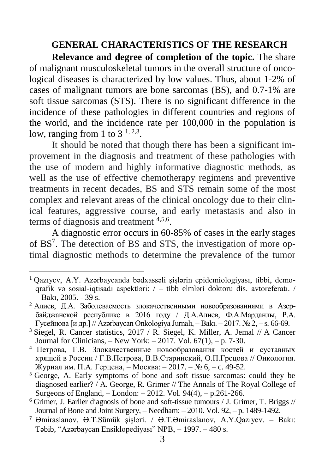#### **GENERAL CHARACTERISTICS OF THE RESEARCH**

**Relevance and degree of completion of the topic.** The share of malignant musculoskeletal tumors in the overall structure of oncological diseases is characterized by low values. Thus, about 1-2% of cases of malignant tumors are bone sarcomas (BS), and 0.7-1% are soft tissue sarcomas (STS). There is no significant difference in the incidence of these pathologies in different countries and regions of the world, and the incidence rate per 100,000 in the population is low, ranging from 1 to  $3^{1,2,3}$ .

It should be noted that though there has been a significant improvement in the diagnosis and treatment of these pathologies with the use of modern and highly informative diagnostic methods, as well as the use of effective chemotherapy regimens and preventive treatments in recent decades, BS and STS remain some of the most complex and relevant areas of the clinical oncology due to their clinical features, aggressive course, and early metastasis and also in terms of diagnosis and treatment 4,5,6 .

A diagnostic error occurs in 60-85% of cases in the early stages of BS<sup>7</sup>. The detection of BS and STS, the investigation of more optimal diagnostic methods to determine the prevalence of the tumor

 $\overline{a}$ 

<sup>1</sup> Qazıyev, A.Y. Azərbaycanda bədxassəli şişlərin epidemiologiyası, tibbi, demoqrafik və sosial-iqtisadi aspektləri: / – tibb elmləri doktoru dis. avtoreferatı. / – Bakı, 2005. - 39 s.

<sup>2</sup> Алиев, Д.А. Заболеваемость злокачественными новообразованиями в Aзербайджанской республике в 2016 году / Д.А.Алиев, Ф.А.Марданлы, Р.А. Гусейнова [и др.] // Azərbaycan Onkologiya Jurnalı, – Bakı. – 2017. № 2, – s. 66-69.

<sup>&</sup>lt;sup>3</sup> Siegel, R. Cancer statistics, 2017 / R. Siegel, K. Miller, A. Jemal // A Cancer Journal for Clinicians,  $-$  New York:  $-2017$ , Vol. 67(1),  $-$  p. 7-30.

<sup>4</sup> Петрова, Г.В. Злокачественные новообразования костей и суставных хрящей в России / Г.В.Петрова, В.В.Старинский, О.П.Грецова // Онкология. Журнал им. П.А. Герцена, – Москва: – 2017. – № 6, – c. 49-52.

<sup>&</sup>lt;sup>5</sup> George, A. Early symptoms of bone and soft tissue sarcomas: could they be diagnosed earlier? / A. George, R. Grimer // The Annals of The Royal College of Surgeons of England, – London: – 2012. Vol. 94(4), – p.261-266.

 $6$  Grimer, J. Earlier diagnosis of bone and soft-tissue tumours / J. Grimer, T. Briggs // Journal of Bone and Joint Surgery, – Needham: – 2010. Vol. 92, – p. 1489-1492.

<sup>7</sup> Əmiraslanov, Ə.T.Sümük şişləri. / Ə.T.Əmiraslanov, A.Y.Qazıyev. – Bakı: Təbib, "Azərbaycan Ensiklopediyası" NPB, – 1997. – 480 s.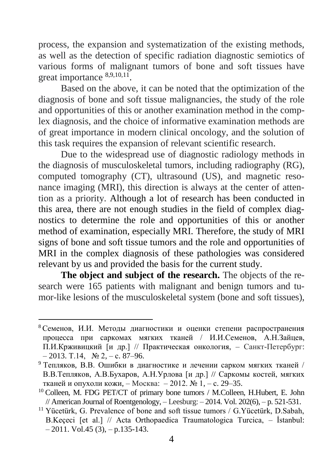process, the expansion and systematization of the existing methods, as well as the detection of specific radiation diagnostic semiotics of various forms of malignant tumors of bone and soft tissues have great importance  $8,9,10,11$ .

Based on the above, it can be noted that the optimization of the diagnosis of bone and soft tissue malignancies, the study of the role and opportunities of this or another examination method in the complex diagnosis, and the choice of informative examination methods are of great importance in modern clinical oncology, and the solution of this task requires the expansion of relevant scientific research.

Due to the widespread use of diagnostic radiology methods in the diagnosis of musculoskeletal tumors, including radiography (RG), computed tomography (CT), ultrasound (US), and magnetic resonance imaging (MRI), this direction is always at the center of attention as a priority. Although a lot of research has been conducted in this area, there are not enough studies in the field of complex diagnostics to determine the role and opportunities of this or another method of examination, especially MRI. Therefore, the study of MRI signs of bone and soft tissue tumors and the role and opportunities of MRI in the complex diagnosis of these pathologies was considered relevant by us and provided the basis for the current study.

**The object and subject of the research.** The objects of the research were 165 patients with malignant and benign tumors and tumor-like lesions of the musculoskeletal system (bone and soft tissues),

-

<sup>8</sup> Семенов, И.И. Методы диагностики и оценки степени распространения процесса при саркомах мягких тканей / И.И.Семенов, А.Н.Зайцев, П.И.Крживицкий [и др.] // Практическая онкология, – Санкт-Петербург: – 2013. Т.14, № 2, – с. 87–96.

<sup>9</sup> Тепляков, В.В. Ошибки в диагностике и лечении сарком мягких тканей / В.В.Тепляков, А.В.Бухаров, А.Н.Урлова [и др.] // Саркомы костей, мягких тканей и опухоли кожи, – Mосква: – 2012. № 1, – с. 29–35.

<sup>10</sup> Colleen, M. FDG PET/CT of primary bone tumors / M.Colleen, H.Hubert, E. John  $//$  American Journal of Roentgenology,  $-$  Leesburg:  $-2014$ . Vol. 202(6),  $-$  p. 521-531.

<sup>&</sup>lt;sup>11</sup> Yücetürk, G. Prevalence of bone and soft tissue tumors / G. Yücetürk, D. Sabah, B.Keçeci [et al.] // Acta Orthopaedica Traumatologica Turcica, – İstanbul:  $-2011.$  Vol. 45 (3),  $-$  p. 135-143.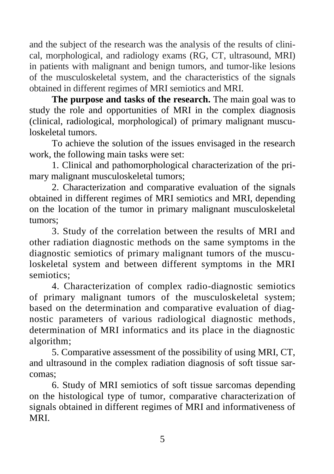and the subject of the research was the analysis of the results of clinical, morphological, and radiology exams (RG, CT, ultrasound, MRI) in patients with malignant and benign tumors, and tumor-like lesions of the musculoskeletal system, and the characteristics of the signals obtained in different regimes of MRI semiotics and MRI.

**The purpose and tasks of the research.** The main goal was to study the role and opportunities of MRI in the complex diagnosis (clinical, radiological, morphological) of primary malignant musculoskeletal tumors.

To achieve the solution of the issues envisaged in the research work, the following main tasks were set:

1. Clinical and pathomorphological characterization of the primary malignant musculoskeletal tumors;

2. Characterization and comparative evaluation of the signals obtained in different regimes of MRI semiotics and MRI, depending on the location of the tumor in primary malignant musculoskeletal tumors;

3. Study of the correlation between the results of MRI and other radiation diagnostic methods on the same symptoms in the diagnostic semiotics of primary malignant tumors of the musculoskeletal system and between different symptoms in the MRI semiotics;

4. Characterization of complex radio-diagnostic semiotics of primary malignant tumors of the musculoskeletal system; based on the determination and comparative evaluation of diagnostic parameters of various radiological diagnostic methods, determination of MRI informatics and its place in the diagnostic algorithm;

5. Comparative assessment of the possibility of using MRI, CT, and ultrasound in the complex radiation diagnosis of soft tissue sarcomas;

6. Study of MRI semiotics of soft tissue sarcomas depending on the histological type of tumor, comparative characterization of signals obtained in different regimes of MRI and informativeness of MRI.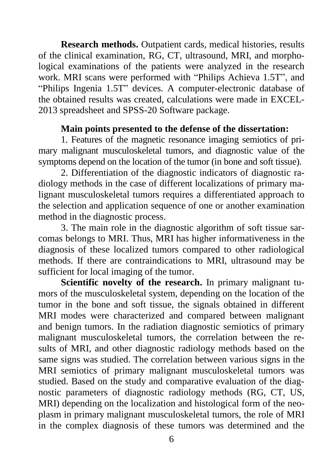**Research methods.** Outpatient cards, medical histories, results of the clinical examination, RG, CT, ultrasound, MRI, and morphological examinations of the patients were analyzed in the research work. MRI scans were performed with "Philips Achieva 1.5T", and "Philips Ingenia 1.5T" devices. A computer-electronic database of the obtained results was created, calculations were made in EXCEL-2013 spreadsheet and SPSS-20 Software package.

#### **Main points presented to the defense of the dissertation:**

1. Features of the magnetic resonance imaging semiotics of primary malignant musculoskeletal tumors, and diagnostic value of the symptoms depend on the location of the tumor (in bone and soft tissue).

2. Differentiation of the diagnostic indicators of diagnostic radiology methods in the case of different localizations of primary malignant musculoskeletal tumors requires a differentiated approach to the selection and application sequence of one or another examination method in the diagnostic process.

3. The main role in the diagnostic algorithm of soft tissue sarcomas belongs to MRI. Thus, MRI has higher informativeness in the diagnosis of these localized tumors compared to other radiological methods. If there are contraindications to MRI, ultrasound may be sufficient for local imaging of the tumor.

**Scientific novelty of the research.** In primary malignant tumors of the musculoskeletal system, depending on the location of the tumor in the bone and soft tissue, the signals obtained in different MRI modes were characterized and compared between malignant and benign tumors. In the radiation diagnostic semiotics of primary malignant musculoskeletal tumors, the correlation between the results of MRI, and other diagnostic radiology methods based on the same signs was studied. The correlation between various signs in the MRI semiotics of primary malignant musculoskeletal tumors was studied. Based on the study and comparative evaluation of the diagnostic parameters of diagnostic radiology methods (RG, CT, US, MRI) depending on the localization and histological form of the neoplasm in primary malignant musculoskeletal tumors, the role of MRI in the complex diagnosis of these tumors was determined and the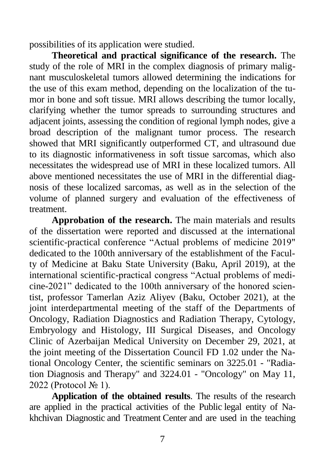possibilities of its application were studied.

**Theoretical and practical significance of the research.** The study of the role of MRI in the complex diagnosis of primary malignant musculoskeletal tumors allowed determining the indications for the use of this exam method, depending on the localization of the tumor in bone and soft tissue. MRI allows describing the tumor locally, clarifying whether the tumor spreads to surrounding structures and adjacent joints, assessing the condition of regional lymph nodes, give a broad description of the malignant tumor process. The research showed that MRI significantly outperformed CT, and ultrasound due to its diagnostic informativeness in soft tissue sarcomas, which also necessitates the widespread use of MRI in these localized tumors. All above mentioned necessitates the use of MRI in the differential diagnosis of these localized sarcomas, as well as in the selection of the volume of planned surgery and evaluation of the effectiveness of treatment.

**Approbation of the research.** The main materials and results of the dissertation were reported and discussed at the international scientific-practical conference "Actual problems of medicine 2019" dedicated to the 100th anniversary of the establishment of the Faculty of Medicine at Baku State University (Baku, April 2019), at the international scientific-practical congress "Actual problems of medicine-2021" dedicated to the 100th anniversary of the honored scientist, professor Tamerlan Aziz Aliyev (Baku, October 2021), at the joint interdepartmental meeting of the staff of the Departments of Oncology, Radiation Diagnostics and Radiation Therapy, Cytology, Embryology and Histology, III Surgical Diseases, and Oncology Clinic of Azerbaijan Medical University on December 29, 2021, at the joint meeting of the Dissertation Council FD 1.02 under the National Oncology Center, the scientific seminars on 3225.01 - "Radiation Diagnosis and Therapy" and 3224.01 - "Oncology" on May 11, 2022 (Protocol № 1).

**Application of the obtained results**. The results of the research are applied in the practical activities of the Public legal entity of Nakhchivan Diagnostic and Treatment Center and are used in the teaching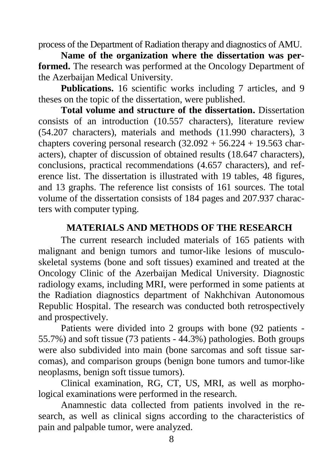process of the Department of Radiation therapy and diagnostics of AMU.

**Name of the organization where the dissertation was performed.** The research was performed at the Oncology Department of the Azerbaijan Medical University.

**Publications.** 16 scientific works including 7 articles, and 9 theses on the topic of the dissertation, were published.

**Total volume and structure of the dissertation.** Dissertation consists of an introduction (10.557 characters), literature review (54.207 characters), materials and methods (11.990 characters), 3 chapters covering personal research  $(32.092 + 56.224 + 19.563$  characters), chapter of discussion of obtained results (18.647 characters), conclusions, practical recommendations (4.657 characters), and reference list. The dissertation is illustrated with 19 tables, 48 figures, and 13 graphs. The reference list consists of 161 sources. The total volume of the dissertation consists of 184 pages and 207.937 characters with computer typing.

## **MATERIALS AND METHODS OF THE RESEARCH**

The current research included materials of 165 patients with malignant and benign tumors and tumor-like lesions of musculoskeletal systems (bone and soft tissues) examined and treated at the Oncology Clinic of the Azerbaijan Medical University. Diagnostic radiology exams, including MRI, were performed in some patients at the Radiation diagnostics department of Nakhchivan Autonomous Republic Hospital. The research was conducted both retrospectively and prospectively.

Patients were divided into 2 groups with bone (92 patients - 55.7%) and soft tissue (73 patients - 44.3%) pathologies. Both groups were also subdivided into main (bone sarcomas and soft tissue sarcomas), and comparison groups (benign bone tumors and tumor-like neoplasms, benign soft tissue tumors).

Clinical examination, RG, CT, US, MRI, as well as morphological examinations were performed in the research.

Anamnestic data collected from patients involved in the research, as well as clinical signs according to the characteristics of pain and palpable tumor, were analyzed.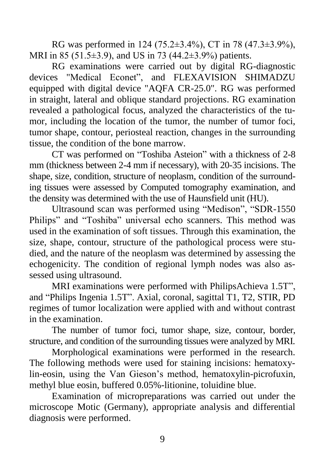RG was performed in 124 (75.2±3.4%), CT in 78 (47.3±3.9%), MRI in 85 (51.5±3.9), and US in 73 (44.2±3.9%) patients.

RG examinations were carried out by digital RG-diagnostic devices "Medical Econet", and FLEXAVISION SHIMADZU equipped with digital device "AQFA CR-25.0". RG was performed in straight, lateral and oblique standard projections. RG examination revealed a pathological focus, analyzed the characteristics of the tumor, including the location of the tumor, the number of tumor foci, tumor shape, contour, periosteal reaction, changes in the surrounding tissue, the condition of the bone marrow.

CT was performed on "Toshiba Asteion" with a thickness of 2-8 mm (thickness between 2-4 mm if necessary), with 20-35 incisions. The shape, size, condition, structure of neoplasm, condition of the surrounding tissues were assessed by Computed tomography examination, and the density was determined with the use of Haunsfield unit (HU).

Ultrasound scan was performed using "Medison", "SDR-1550 Philips" and "Toshiba" universal echo scanners. This method was used in the examination of soft tissues. Through this examination, the size, shape, contour, structure of the pathological process were studied, and the nature of the neoplasm was determined by assessing the echogenicity. The condition of regional lymph nodes was also assessed using ultrasound.

MRI examinations were performed with PhilipsAchieva 1.5T", and "Philips Ingenia 1.5T". Axial, coronal, sagittal T1, T2, STIR, PD regimes of tumor localization were applied with and without contrast in the examination.

The number of tumor foci, tumor shape, size, contour, border, structure, and condition of the surrounding tissues were analyzed by MRI.

Morphological examinations were performed in the research. The following methods were used for staining incisions: hematoxylin-eosin, using the Van Gieson's method, hematoxylin-picrofuxin, methyl blue eosin, buffered 0.05%-litionine, toluidine blue.

Examination of micropreparations was carried out under the microscope Motic (Germany), appropriate analysis and differential diagnosis were performed.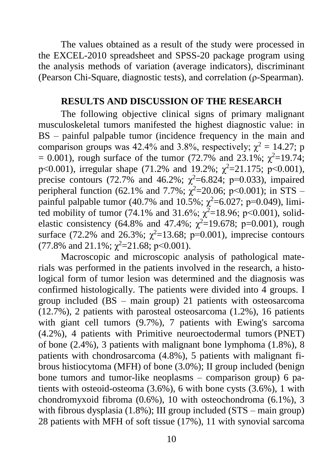The values obtained as a result of the study were processed in the EXCEL-2010 spreadsheet and SPSS-20 package program using the analysis methods of variation (average indicators), discriminant (Pearson Chi-Square, diagnostic tests), and correlation (ρ-Spearman).

#### **RESULTS AND DISCUSSION OF THE RESEARCH**

The following objective clinical signs of primary malignant musculoskeletal tumors manifested the highest diagnostic value: in BS – painful palpable tumor (incidence frequency in the main and comparison groups was 42.4% and 3.8%, respectively;  $\chi^2 = 14.27$ ; p = 0.001), rough surface of the tumor (72.7% and 23.1%;  $\chi^2$ =19.74; p<0.001), irregular shape (71.2% and 19.2%;  $\chi^2$ =21.175; p<0.001), precise contours (72.7% and 46.2%;  $\chi^2$ =6.824; p=0.033), impaired peripheral function (62.1% and 7.7%;  $\chi^2$ =20.06; p<0.001); in STS – painful palpable tumor (40.7% and 10.5%;  $\chi^2$ =6.027; p=0.049), limited mobility of tumor (74.1% and 31.6%;  $\chi^2$ =18.96; p<0.001), solidelastic consistency (64.8% and 47.4%;  $\chi^2$ =19.678; p=0.001), rough surface (72.2% and 26.3%;  $\chi^2$ =13.68; p=0.001), imprecise contours (77.8% and 21.1%;  $\chi^2$ =21.68; p<0.001).

Macroscopic and microscopic analysis of pathological materials was performed in the patients involved in the research, a histological form of tumor lesion was determined and the diagnosis was confirmed histologically. The patients were divided into 4 groups. I group included (BS – main group) 21 patients with osteosarcoma (12.7%), 2 patients with parosteal osteosarcoma (1.2%), 16 patients with giant cell tumors (9.7%), 7 patients with Ewing's sarcoma (4.2%), 4 patients with Primitive neuroectodermal tumors (PNET) of bone (2.4%), 3 patients with malignant bone lymphoma (1.8%), 8 patients with chondrosarcoma (4.8%), 5 patients with malignant fibrous histiocytoma (MFH) of bone (3.0%); II group included (benign bone tumors and tumor-like neoplasms – comparison group) 6 patients with osteoid-osteoma (3.6%), 6 with bone cysts (3.6%), 1 with chondromyxoid fibroma (0.6%), 10 with osteochondroma (6.1%), 3 with fibrous dysplasia (1.8%); III group included (STS – main group) 28 patients with MFH of soft tissue (17%), 11 with synovial sarcoma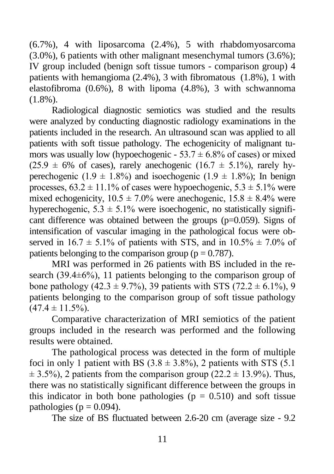(6.7%), 4 with liposarcoma (2.4%), 5 with rhabdomyosarcoma (3.0%), 6 patients with other malignant mesenchymal tumors (3.6%); IV group included (benign soft tissue tumors - comparison group) 4 patients with hemangioma (2.4%), 3 with fibromatous (1.8%), 1 with elastofibroma (0.6%), 8 with lipoma (4.8%), 3 with schwannoma (1.8%).

Radiological diagnostic semiotics was studied and the results were analyzed by conducting diagnostic radiology examinations in the patients included in the research. An ultrasound scan was applied to all patients with soft tissue pathology. The echogenicity of malignant tumors was usually low (hypoechogenic -  $53.7 \pm 6.8\%$  of cases) or mixed  $(25.9 \pm 6\% \text{ of cases})$ , rarely anechogenic  $(16.7 \pm 5.1\%)$ , rarely hyperechogenic (1.9  $\pm$  1.8%) and isoechogenic (1.9  $\pm$  1.8%); In benign processes,  $63.2 \pm 11.1\%$  of cases were hypoechogenic,  $5.3 \pm 5.1\%$  were mixed echogenicity,  $10.5 \pm 7.0\%$  were anechogenic,  $15.8 \pm 8.4\%$  were hyperechogenic,  $5.3 \pm 5.1\%$  were isoechogenic, no statistically significant difference was obtained between the groups (p=0.059). Signs of intensification of vascular imaging in the pathological focus were observed in  $16.7 \pm 5.1\%$  of patients with STS, and in  $10.5\% \pm 7.0\%$  of patients belonging to the comparison group ( $p = 0.787$ ).

MRI was performed in 26 patients with BS included in the research (39.4±6%), 11 patients belonging to the comparison group of bone pathology (42.3  $\pm$  9.7%), 39 patients with STS (72.2  $\pm$  6.1%), 9 patients belonging to the comparison group of soft tissue pathology  $(47.4 \pm 11.5\%)$ .

Comparative characterization of MRI semiotics of the patient groups included in the research was performed and the following results were obtained.

The pathological process was detected in the form of multiple foci in only 1 patient with BS  $(3.8 \pm 3.8\%)$ , 2 patients with STS  $(5.1)$  $\pm$  3.5%), 2 patients from the comparison group (22.2  $\pm$  13.9%). Thus, there was no statistically significant difference between the groups in this indicator in both bone pathologies ( $p = 0.510$ ) and soft tissue pathologies ( $p = 0.094$ ).

The size of BS fluctuated between 2.6-20 cm (average size - 9.2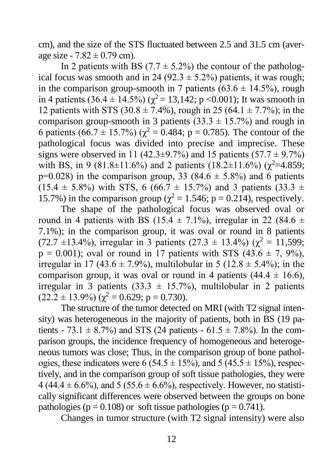cm), and the size of the STS fluctuated between 2.5 and 31.5 cm (average size -  $7.82 \pm 0.79$  cm).

In 2 patients with BS  $(7.7 \pm 5.2\%)$  the contour of the pathological focus was smooth and in 24 (92.3  $\pm$  5.2%) patients, it was rough; in the comparison group-smooth in 7 patients  $(63.6 \pm 14.5\%)$ , rough in 4 patients  $(36.4 \pm 14.5\%) (\chi^2 = 13,142; p < 0.001)$ ; It was smooth in 12 patients with STS (30.8  $\pm$  7.4%), rough in 25 (64.1  $\pm$  7.7%); in the comparison group-smooth in 3 patients  $(33.3 \pm 15.7\%)$  and rough in 6 patients (66.7 ± 15.7%) ( $\gamma^2 = 0.484$ ; p = 0.785). The contour of the pathological focus was divided into precise and imprecise. These signs were observed in 11 (42.3±9.7%) and 15 patients  $(57.7 \pm 9.7\%)$ with BS, in 9 (81.8±11.6%) and 2 patients (18.2±11.6%) ( $\chi^2$ =4.859;  $p=0.028$ ) in the comparison group, 33 (84.6  $\pm$  5.8%) and 6 patients  $(15.4 \pm 5.8\%)$  with STS, 6 (66.7  $\pm$  15.7%) and 3 patients (33.3  $\pm$ 15.7%) in the comparison group ( $\chi^2 = 1.546$ ; p = 0.214), respectively.

The shape of the pathological focus was observed oval or round in 4 patients with BS (15.4  $\pm$  7.1%), irregular in 22 (84.6  $\pm$ 7.1%); in the comparison group, it was oval or round in 8 patients (72.7 ±13.4%), irregular in 3 patients (27.3 ± 13.4%) ( $\gamma^2 = 11.599$ ;  $p = 0.001$ ; oval or round in 17 patients with STS  $(43.6 \pm 7, 9\%)$ , irregular in 17 (43.6  $\pm$  7.9%), multilobular in 5 (12.8  $\pm$  5.4%); in the comparison group, it was oval or round in 4 patients  $(44.4 \pm 16.6)$ , irregular in 3 patients (33.3  $\pm$  15.7%), multilobular in 2 patients  $(22.2 \pm 13.9\%) (\gamma^2 = 0.629; p = 0.730).$ 

The structure of the tumor detected on MRI (with T2 signal intensity) was heterogeneous in the majority of patients, both in BS (19 patients - 73.1  $\pm$  8.7%) and STS (24 patients - 61.5  $\pm$  7.8%). In the comparison groups, the incidence frequency of homogeneous and heterogeneous tumors was close; Thus, in the comparison group of bone pathologies, these indicators were 6 (54.5  $\pm$  15%), and 5 (45.5  $\pm$  15%), respectively, and in the comparison group of soft tissue pathologies, they were 4 (44.4  $\pm$  6.6%), and 5 (55.6  $\pm$  6.6%), respectively. However, no statistically significant differences were observed between the groups on bone pathologies ( $p = 0.108$ ) or soft tissue pathologies ( $p = 0.741$ ).

Changes in tumor structure (with T2 signal intensity) were also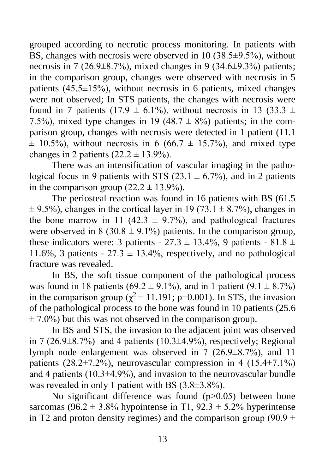grouped according to necrotic process monitoring. In patients with BS, changes with necrosis were observed in 10  $(38.5\pm9.5\%)$ , without necrosis in 7 (26.9 $\pm$ 8.7%), mixed changes in 9 (34.6 $\pm$ 9.3%) patients; in the comparison group, changes were observed with necrosis in 5 patients (45.5±15%), without necrosis in 6 patients, mixed changes were not observed; In STS patients, the changes with necrosis were found in 7 patients (17.9  $\pm$  6.1%), without necrosis in 13 (33.3  $\pm$ 7.5%), mixed type changes in 19 (48.7  $\pm$  8%) patients; in the comparison group, changes with necrosis were detected in 1 patient (11.1  $\pm$  10.5%), without necrosis in 6 (66.7  $\pm$  15.7%), and mixed type changes in 2 patients  $(22.2 \pm 13.9\%)$ .

There was an intensification of vascular imaging in the pathological focus in 9 patients with STS (23.1  $\pm$  6.7%), and in 2 patients in the comparison group  $(22.2 \pm 13.9\%)$ .

The periosteal reaction was found in 16 patients with BS (61.5  $\pm$  9.5%), changes in the cortical layer in 19 (73.1  $\pm$  8.7%), changes in the bone marrow in 11 (42.3  $\pm$  9.7%), and pathological fractures were observed in  $8$  (30.8  $\pm$  9.1%) patients. In the comparison group, these indicators were: 3 patients -  $27.3 \pm 13.4\%$ , 9 patients -  $81.8 \pm 13.4\%$ 11.6%, 3 patients -  $27.3 \pm 13.4$ %, respectively, and no pathological fracture was revealed.

In BS, the soft tissue component of the pathological process was found in 18 patients (69.2  $\pm$  9.1%), and in 1 patient (9.1  $\pm$  8.7%) in the comparison group ( $\chi^2$  = 11.191; p=0.001). In STS, the invasion of the pathological process to the bone was found in 10 patients (25.6  $\pm$  7.0%) but this was not observed in the comparison group.

In BS and STS, the invasion to the adjacent joint was observed in 7 (26.9 $\pm$ 8.7%) and 4 patients (10.3 $\pm$ 4.9%), respectively; Regional lymph node enlargement was observed in 7 (26.9±8.7%), and 11 patients  $(28.2\pm7.2\%)$ , neurovascular compression in 4  $(15.4\pm7.1\%)$ and 4 patients  $(10.3\pm4.9\%)$ , and invasion to the neurovascular bundle was revealed in only 1 patient with BS (3.8±3.8%).

No significant difference was found  $(p>0.05)$  between bone sarcomas (96.2  $\pm$  3.8% hypointense in T1, 92.3  $\pm$  5.2% hyperintense in T2 and proton density regimes) and the comparison group (90.9  $\pm$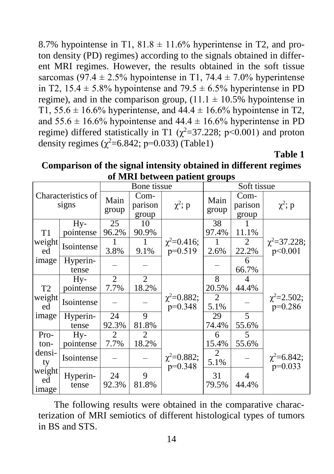8.7% hypointense in T1,  $81.8 \pm 11.6$ % hyperintense in T2, and proton density (PD) regimes) according to the signals obtained in different MRI regimes. However, the results obtained in the soft tissue sarcomas (97.4  $\pm$  2.5% hypointense in T1, 74.4  $\pm$  7.0% hyperintense in T2,  $15.4 \pm 5.8\%$  hypointense and  $79.5 \pm 6.5\%$  hyperintense in PD regime), and in the comparison group,  $(11.1 \pm 10.5\%$  hypointense in T1,  $55.6 \pm 16.6\%$  hyperintense, and  $44.4 \pm 16.6\%$  hypointense in T2, and  $55.6 \pm 16.6\%$  hypointense and  $44.4 \pm 16.6\%$  hyperintense in PD regime) differed statistically in T1 ( $\chi^2$ =37.228; p<0.001) and proton density regimes  $(\chi^2=6.842; p=0.033)$  (Table1)

**Table 1**

**Comparison of the signal intensity obtained in different regimes of MRI between patient groups**

| Characteristics of<br>signs    |                         | Bone tissue            |                          |                                 | 8- - - I<br>Soft tissue |                          |                                |
|--------------------------------|-------------------------|------------------------|--------------------------|---------------------------------|-------------------------|--------------------------|--------------------------------|
|                                |                         | Main<br>group          | Com-<br>parison<br>group | $\chi^2$ ; p                    | Main<br>group           | Com-<br>parison<br>group | $\chi^2$ ; p                   |
|                                | Hy-                     | 25                     | 10                       |                                 | $\overline{38}$         |                          |                                |
| T <sub>1</sub><br>weight<br>ed | pointense<br>Isointense | 96.2%<br>3.8%          | 90.9%<br>1<br>9.1%       | $\chi^2 = 0.416$ ;<br>$p=0.519$ | 97.4%<br>1<br>2.6%      | 11.1%<br>2<br>22.2%      | $\chi^2 = 37.228$ ;<br>p<0.001 |
| image                          | Hyperin-<br>tense       |                        |                          |                                 |                         | 6<br>66.7%               |                                |
| T <sub>2</sub>                 | Hy-<br>pointense        | $\overline{2}$<br>7.7% | $\overline{2}$<br>18.2%  |                                 | 8<br>20.5%              | 4<br>44.4%               |                                |
| weight<br>ed                   | Isointense              |                        |                          | $\chi^2 = 0.882;$<br>$p=0.348$  | $\overline{2}$<br>5.1%  |                          | $\chi^2 = 2.502$ ;<br>p=0.286  |
| image                          | Hyperin-<br>tense       | 24<br>92.3%            | 9<br>81.8%               |                                 | 29<br>74.4%             | $\overline{5}$<br>55.6%  |                                |
| Pro-<br>ton-                   | Hy-<br>pointense        | $\overline{2}$<br>7.7% | $\overline{2}$<br>18.2%  |                                 | 6<br>15.4%              | 5<br>55.6%               |                                |
| densi-<br>ty                   | Isointense              |                        |                          | $\chi^2 = 0.882;$<br>$p=0.348$  | 2<br>5.1%               |                          | $\chi^2 = 6.842;$<br>$p=0.033$ |
| weight<br>ed<br>image          | Hyperin-<br>tense       | 24<br>92.3%            | 9<br>81.8%               |                                 | 31<br>79.5%             | 4<br>44.4%               |                                |

The following results were obtained in the comparative characterization of MRI semiotics of different histological types of tumors in BS and STS.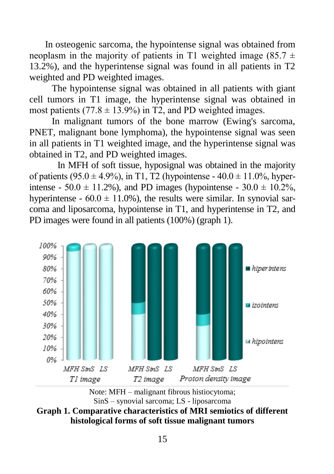In osteogenic sarcoma, the hypointense signal was obtained from neoplasm in the majority of patients in T1 weighted image  $(85.7 \pm 1)$ 13.2%), and the hyperintense signal was found in all patients in T2 weighted and PD weighted images.

The hypointense signal was obtained in all patients with giant cell tumors in T1 image, the hyperintense signal was obtained in most patients  $(77.8 \pm 13.9\%)$  in T2, and PD weighted images.

In malignant tumors of the bone marrow (Ewing's sarcoma, PNET, malignant bone lymphoma), the hypointense signal was seen in all patients in T1 weighted image, and the hyperintense signal was obtained in T2, and PD weighted images.

In MFH of soft tissue, hyposignal was obtained in the majority of patients (95.0  $\pm$  4.9%), in T1, T2 (hypointense - 40.0  $\pm$  11.0%, hyperintense - 50.0  $\pm$  11.2%), and PD images (hypointense - 30.0  $\pm$  10.2%, hyperintense -  $60.0 \pm 11.0\%$ ), the results were similar. In synovial sarcoma and liposarcoma, hypointense in T1, and hyperintense in T2, and PD images were found in all patients (100%) (graph 1).





**Graph 1. Comparative characteristics of MRI semiotics of different histological forms of soft tissue malignant tumors**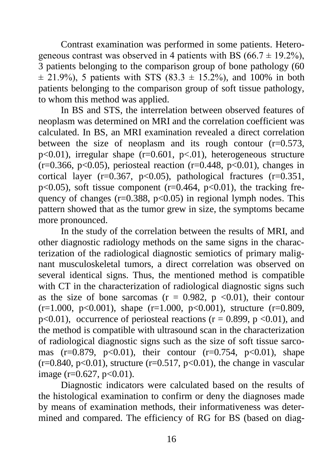Contrast examination was performed in some patients. Heterogeneous contrast was observed in 4 patients with BS (66.7  $\pm$  19.2%), 3 patients belonging to the comparison group of bone pathology (60  $\pm$  21.9%), 5 patients with STS (83.3  $\pm$  15.2%), and 100% in both patients belonging to the comparison group of soft tissue pathology, to whom this method was applied.

In BS and STS, the interrelation between observed features of neoplasm was determined on MRI and the correlation coefficient was calculated. In BS, an MRI examination revealed a direct correlation between the size of neoplasm and its rough contour  $(r=0.573)$ .  $p<0.01$ ), irregular shape (r=0.601,  $p<0.01$ ), heterogeneous structure  $(r=0.366, p<0.05)$ , periosteal reaction  $(r=0.448, p<0.01)$ , changes in cortical layer ( $r=0.367$ ,  $p<0.05$ ), pathological fractures ( $r=0.351$ ,  $p<0.05$ ), soft tissue component ( $r=0.464$ ,  $p<0.01$ ), the tracking frequency of changes ( $r=0.388$ ,  $p<0.05$ ) in regional lymph nodes. This pattern showed that as the tumor grew in size, the symptoms became more pronounced.

In the study of the correlation between the results of MRI, and other diagnostic radiology methods on the same signs in the characterization of the radiological diagnostic semiotics of primary malignant musculoskeletal tumors, a direct correlation was observed on several identical signs. Thus, the mentioned method is compatible with CT in the characterization of radiological diagnostic signs such as the size of bone sarcomas ( $r = 0.982$ ,  $p \le 0.01$ ), their contour  $(r=1.000, p<0.001)$ , shape  $(r=1.000, p<0.001)$ , structure  $(r=0.809, p=0.001)$  $p<0.01$ ), occurrence of periosteal reactions ( $r = 0.899$ ,  $p <0.01$ ), and the method is compatible with ultrasound scan in the characterization of radiological diagnostic signs such as the size of soft tissue sarcomas (r=0.879, p<0.01), their contour (r=0.754, p<0.01), shape  $(r=0.840, p<0.01)$ , structure  $(r=0.517, p<0.01)$ , the change in vascular image ( $r=0.627$ ,  $p<0.01$ ).

Diagnostic indicators were calculated based on the results of the histological examination to confirm or deny the diagnoses made by means of examination methods, their informativeness was determined and compared. The efficiency of RG for BS (based on diag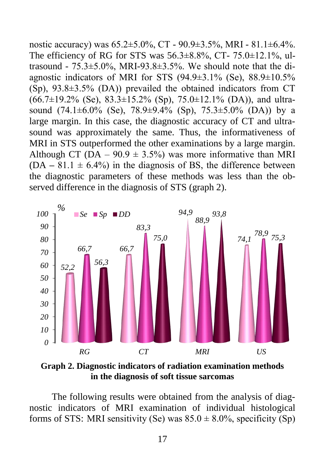nostic accuracy) was 65.2±5.0%, CT - 90.9±3.5%, MRI - 81.1±6.4%. The efficiency of RG for STS was  $56.3\pm8.8\%$ , CT-  $75.0\pm12.1\%$ , ultrasound -  $75.3\pm5.0\%$ , MRI-93.8 $\pm3.5\%$ . We should note that the diagnostic indicators of MRI for STS  $(94.9\pm3.1\%$  (Se),  $88.9\pm10.5\%$  $(Sp)$ , 93.8 $\pm$ 3.5% (DA)) prevailed the obtained indicators from CT  $(66.7\pm19.2\%$  (Se),  $83.3\pm15.2\%$  (Sp),  $75.0\pm12.1\%$  (DA)), and ultrasound  $(74.1\pm6.0\%$  (Se),  $78.9\pm9.4\%$  (Sp),  $75.3\pm5.0\%$  (DA)) by a large margin. In this case, the diagnostic accuracy of CT and ultrasound was approximately the same. Thus, the informativeness of MRI in STS outperformed the other examinations by a large margin. Although CT (DA –  $90.9 \pm 3.5\%$ ) was more informative than MRI  $(DA - 81.1 \pm 6.4\%)$  in the diagnosis of BS, the difference between the diagnostic parameters of these methods was less than the observed difference in the diagnosis of STS (graph 2).



**Graph 2. Diagnostic indicators of radiation examination methods in the diagnosis of soft tissue sarcomas**

The following results were obtained from the analysis of diagnostic indicators of MRI examination of individual histological forms of STS: MRI sensitivity (Se) was  $85.0 \pm 8.0\%$ , specificity (Sp)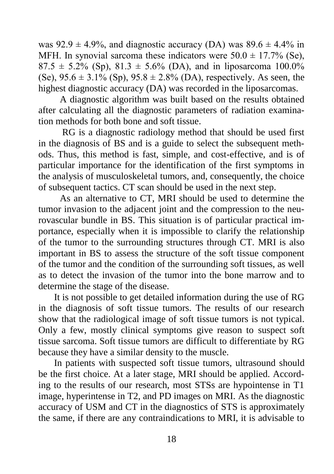was  $92.9 \pm 4.9\%$ , and diagnostic accuracy (DA) was  $89.6 \pm 4.4\%$  in MFH. In synovial sarcoma these indicators were  $50.0 \pm 17.7\%$  (Se),  $87.5 \pm 5.2\%$  (Sp),  $81.3 \pm 5.6\%$  (DA), and in liposarcoma 100.0% (Se),  $95.6 \pm 3.1\%$  (Sp),  $95.8 \pm 2.8\%$  (DA), respectively. As seen, the highest diagnostic accuracy (DA) was recorded in the liposarcomas.

A diagnostic algorithm was built based on the results obtained after calculating all the diagnostic parameters of radiation examination methods for both bone and soft tissue.

RG is a diagnostic radiology method that should be used first in the diagnosis of BS and is a guide to select the subsequent methods. Thus, this method is fast, simple, and cost-effective, and is of particular importance for the identification of the first symptoms in the analysis of musculoskeletal tumors, and, consequently, the choice of subsequent tactics. CT scan should be used in the next step.

As an alternative to CT, MRI should be used to determine the tumor invasion to the adjacent joint and the compression to the neurovascular bundle in BS. This situation is of particular practical importance, especially when it is impossible to clarify the relationship of the tumor to the surrounding structures through CT. MRI is also important in BS to assess the structure of the soft tissue component of the tumor and the condition of the surrounding soft tissues, as well as to detect the invasion of the tumor into the bone marrow and to determine the stage of the disease.

It is not possible to get detailed information during the use of RG in the diagnosis of soft tissue tumors. The results of our research show that the radiological image of soft tissue tumors is not typical. Only a few, mostly clinical symptoms give reason to suspect soft tissue sarcoma. Soft tissue tumors are difficult to differentiate by RG because they have a similar density to the muscle.

In patients with suspected soft tissue tumors, ultrasound should be the first choice. At a later stage, MRI should be applied. According to the results of our research, most STSs are hypointense in T1 image, hyperintense in T2, and PD images on MRI. As the diagnostic accuracy of USM and CT in the diagnostics of STS is approximately the same, if there are any contraindications to MRI, it is advisable to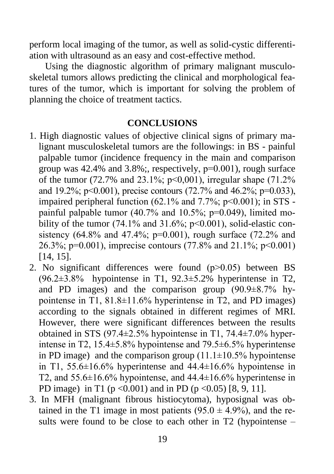perform local imaging of the tumor, as well as solid-cystic differentiation with ultrasound as an easy and cost-effective method.

Using the diagnostic algorithm of primary malignant musculoskeletal tumors allows predicting the clinical and morphological features of the tumor, which is important for solving the problem of planning the choice of treatment tactics.

#### **CONCLUSIONS**

- 1. High diagnostic values of objective clinical signs of primary malignant musculoskeletal tumors are the followings: in BS - painful palpable tumor (incidence frequency in the main and comparison group was  $42.4\%$  and  $3.8\%$ ; respectively,  $p=0.001$ ), rough surface of the tumor (72.7% and 23.1%;  $p<0,001$ ), irregular shape (71.2%) and 19.2%;  $p \le 0.001$ ), precise contours (72.7% and 46.2%;  $p=0.033$ ), impaired peripheral function  $(62.1\%$  and  $7.7\%$ ;  $p<0.001$ ); in STS painful palpable tumor  $(40.7\%$  and  $10.5\%$ ; p=0.049), limited mobility of the tumor (74.1% and 31.6%;  $p<0.001$ ), solid-elastic consistency (64.8% and 47.4%; p=0.001), rough surface (72.2% and 26.3%; р=0.001), imprecise contours (77.8% and 21.1%; р<0.001) [14, 15].
- 2. No significant differences were found  $(p>0.05)$  between BS  $(96.2\pm3.8\%$  hypointense in T1,  $92.3\pm5.2\%$  hyperintense in T2, and PD images) and the comparison group  $(90.9\pm8.7\%$  hypointense in T1, 81.8±11.6% hyperintense in T2, and PD images) according to the signals obtained in different regimes of MRI. However, there were significant differences between the results obtained in STS (97.4±2.5% hypointense in T1, 74.4±7.0% hyperintense in T2, 15.4±5.8% hypointense and 79.5±6.5% hyperintense in PD image) and the comparison group  $(11.1\pm10.5\%$  hypointense in T1, 55.6±16.6% hyperintense and 44.4±16.6% hypointense in T2, and  $55.6\pm16.6\%$  hypointense, and  $44.4\pm16.6\%$  hyperintense in PD image) in T1 ( $p < 0.001$ ) and in PD ( $p < 0.05$ ) [8, 9, 11].
- 3. In MFH (malignant fibrous histiocytoma), hyposignal was obtained in the T1 image in most patients  $(95.0 \pm 4.9\%)$ , and the results were found to be close to each other in T2 (hypointense –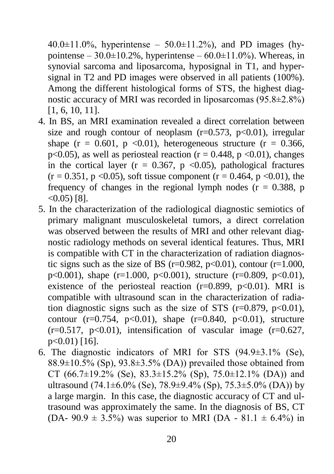$40.0 \pm 11.0\%$ , hyperintense –  $50.0 \pm 11.2\%$ ), and PD images (hypointense –  $30.0\pm10.2\%$ , hyperintense –  $60.0\pm11.0\%$ ). Whereas, in synovial sarcoma and liposarcoma, hyposignal in T1, and hypersignal in T2 and PD images were observed in all patients (100%). Among the different histological forms of STS, the highest diagnostic accuracy of MRI was recorded in liposarcomas (95.8±2.8%) [1, 6, 10, 11].

- 4. In BS, an MRI examination revealed a direct correlation between size and rough contour of neoplasm  $(r=0.573, p<0.01)$ , irregular shape  $(r = 0.601, p \le 0.01)$ , heterogeneous structure  $(r = 0.366,$ p<0.05), as well as periosteal reaction ( $r = 0.448$ ,  $p \le 0.01$ ), changes in the cortical layer ( $r = 0.367$ ,  $p \le 0.05$ ), pathological fractures  $(r = 0.351, p < 0.05)$ , soft tissue component  $(r = 0.464, p < 0.01)$ , the frequency of changes in the regional lymph nodes  $(r = 0.388, p$  $<$  0.05) [8].
- 5. In the characterization of the radiological diagnostic semiotics of primary malignant musculoskeletal tumors, a direct correlation was observed between the results of MRI and other relevant diagnostic radiology methods on several identical features. Thus, MRI is compatible with CT in the characterization of radiation diagnostic signs such as the size of BS ( $r=0.982$ ,  $p<0.01$ ), contour ( $r=1.000$ , p<0.001), shape  $(r=1.000, p<0.001)$ , structure  $(r=0.809, p<0.01)$ , existence of the periosteal reaction  $(r=0.899, p<0.01)$ . MRI is compatible with ultrasound scan in the characterization of radiation diagnostic signs such as the size of STS  $(r=0.879, p<0.01)$ , contour  $(r=0.754, p<0.01)$ , shape  $(r=0.840, p<0.01)$ , structure  $(r=0.517, p<0.01)$ , intensification of vascular image  $(r=0.627,$ p<0.01) [16].
- 6. The diagnostic indicators of MRI for STS (94.9±3.1% (Se),  $88.9\pm10.5\%$  (Sp),  $93.8\pm3.5\%$  (DA)) prevailed those obtained from CT (66.7 $\pm$ 19.2% (Se), 83.3 $\pm$ 15.2% (Sp), 75.0 $\pm$ 12.1% (DA)) and ultrasound  $(74.1\pm6.0\%$  (Se),  $78.9\pm9.4\%$  (Sp),  $75.3\pm5.0\%$  (DA)) by a large margin. In this case, the diagnostic accuracy of CT and ultrasound was approximately the same. In the diagnosis of BS, CT (DA- 90.9  $\pm$  3.5%) was superior to MRI (DA - 81.1  $\pm$  6.4%) in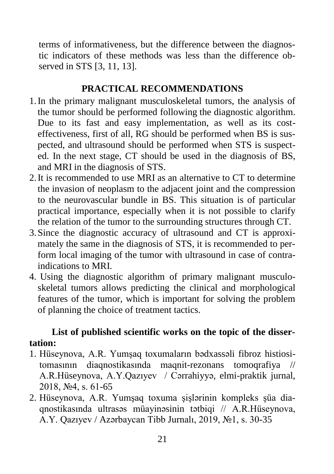terms of informativeness, but the difference between the diagnostic indicators of these methods was less than the difference observed in STS [3, 11, 13].

## **PRACTICAL RECOMMENDATIONS**

- 1.In the primary malignant musculoskeletal tumors, the analysis of the tumor should be performed following the diagnostic algorithm. Due to its fast and easy implementation, as well as its costeffectiveness, first of all, RG should be performed when BS is suspected, and ultrasound should be performed when STS is suspected. In the next stage, CT should be used in the diagnosis of BS, and MRI in the diagnosis of STS.
- 2.It is recommended to use MRI as an alternative to CT to determine the invasion of neoplasm to the adjacent joint and the compression to the neurovascular bundle in BS. This situation is of particular practical importance, especially when it is not possible to clarify the relation of the tumor to the surrounding structures through CT.
- 3.Since the diagnostic accuracy of ultrasound and CT is approximately the same in the diagnosis of STS, it is recommended to perform local imaging of the tumor with ultrasound in case of contraindications to MRI.
- 4. Using the diagnostic algorithm of primary malignant musculoskeletal tumors allows predicting the clinical and morphological features of the tumor, which is important for solving the problem of planning the choice of treatment tactics.

## **List of published scientific works on the topic of the dissertation:**

- 1. Hüseynova, A.R. Yumşaq toxumaların bədxassəli fibroz histiositomasının diaqnostikasında maqnit-rezonans tomoqrafiya // A.R.Hüseynova, A.Y.Qazıyev / Cərrahiyyə, elmi-praktik jurnal, 2018, №4, s. 61-65
- 2. Hüseynova, A.R. Yumşaq toxuma şişlərinin kompleks şüa diaqnostikasında ultrasəs müayinəsinin tətbiqi // A.R.Hüseynova, A.Y. Qazıyev / Azərbaycan Tibb Jurnalı, 2019, №1, s. 30-35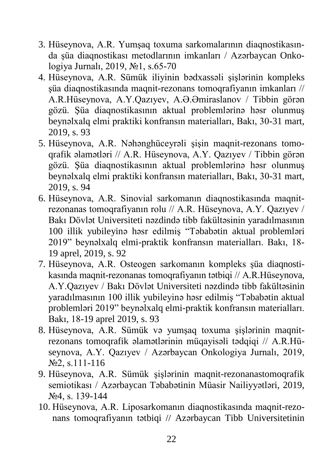- 3. Hüseynova, A.R. Yumşaq toxuma sarkomalarının diaqnostikasında şüa diaqnostikası metodlarının imkanları / Azərbaycan Onkologiya Jurnalı, 2019, №1, s.65-70
- 4. Hüseynova, A.R. Sümük iliyinin bədxassəli şişlərinin kompleks şüa diaqnostikasında maqnit-rezonans tomoqrafiyanın imkanları // A.R.Hüseynova, A.Y.Qazıyev, A.Ə.Əmiraslanov / Tibbin görən gözü. Şüa diaqnostikasının aktual problemlərinə həsr olunmuş beynəlxalq elmi praktiki konfransın materialları, Bakı, 30-31 mart, 2019, s. 93
- 5. Hüseynova, A.R. Nəhənghüceyrəli şişin maqnit-rezonans tomoqrafik əlamətləri // A.R. Hüseynova, A.Y. Qazıyev / Tibbin görən gözü. Şüa diaqnostikasının aktual problemlərinə həsr olunmuş beynəlxalq elmi praktiki konfransın materialları, Bakı, 30-31 mart, 2019, s. 94
- 6. Hüseynova, A.R. Sinovial sarkomanın diaqnostikasında maqnitrezonanas tomoqrafiyanın rolu // A.R. Hüseynova, A.Y. Qazıyev / Bakı Dövlət Universiteti nəzdində tibb fakültəsinin yaradılmasının 100 illik yubileyinə həsr edilmiş "Təbabətin aktual problemləri 2019" beynəlxalq elmi-praktik konfransın materialları. Bakı, 18- 19 aprel, 2019, s. 92
- 7. Hüseynova, A.R. Osteogen sarkomanın kompleks şüa diaqnostikasında maqnit-rezonanas tomoqrafiyanın tətbiqi // A.R.Hüseynova, A.Y.Qazıyev / Bakı Dövlət Universiteti nəzdində tibb fakültəsinin yaradılmasının 100 illik yubileyinə həsr edilmiş "Təbabətin aktual problemləri 2019" beynəlxalq elmi-praktik konfransın materialları. Bakı, 18-19 aprel 2019, s. 93
- 8. Hüseynova, A.R. Sümük və yumşaq toxuma şişlərinin maqnitrezonans tomoqrafik əlamətlərinin müqayisəli tədqiqi // A.R.Hüseynova, A.Y. Qazıyev / Azərbaycan Onkologiya Jurnalı, 2019, №2, s.111-116
- 9. Hüseynova, A.R. Sümük şişlərinin maqnit-rezonanastomoqrafik semiotikası / Azərbaycan Təbabətinin Müasir Nailiyyətləri, 2019, №4, s. 139-144
- 10. Hüseynova, A.R. Liposarkomanın diaqnostikasında maqnit-rezonans tomoqrafiyanın tətbiqi // Azərbaycan Tibb Universitetinin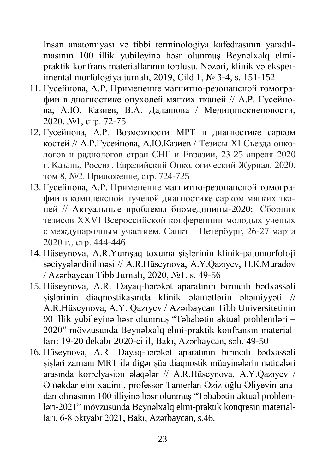İnsan anatomiyası və tibbi terminologiya kafedrasının yaradılmasının 100 illik yubileyinə həsr olunmuş Beynəlxalq elmipraktik konfrans materiallarının toplusu. Nəzəri, klinik və eksperimental morfologiya jurnalı, 2019, Cild 1, № 3-4, s. 151-152

- 11. Гусейнова, А.Р. Применение магнитно-резонансной томографии в диагностике опухолей мягких тканей // А.Р. Гусейнова, А.Ю. Казиев, В.А. Дадашова / Медицинскиеновости, 2020, №1, стр. 72-75
- 12. Гусейнова, А.Р. Возможности МРТ в диагностике сарком костей // А.Р.Гусейнова, А.Ю.Казиев / Тезисы XI Съезда онкологов и радиологов стран СНГ и Евразии, 23-25 апреля 2020 г. Kaзaнь, Россия. Евразийский Онкологический Журнал. 2020, том 8, №2. Приложение, стр. 724-725
- 13. Гусейнова, А.Р. Применение магнитно-резонансной томографии в комплексной лучевой диагностике сарком мягких тканей // Актуальные проблемы биомедицины-2020: Сборник тезисов XXVI Всероссийской конференции молодых ученых с международным участием. Санкт – Петербург, 26-27 марта 2020 г., стр. 444-446
- 14. Hüseynova, A.R.Yumşaq toxuma şişlərinin klinik-patomorfoloji səciyyələndirilməsi // A.R.Hüseynova, A.Y.Qazıyev, Н.К.Muradov / Azərbaycan Tibb Jurnalı, 2020, №1, s. 49-56
- 15. Hüseynova, A.R. Dayaq-hərəkət aparatının birincili bədxassəli şişlərinin diaqnostikasında klinik əlamətlərin əhəmiyyəti // A.R.Hüseynova, A.Y. Qazıyev / Azərbaycan Tibb Universitetinin 90 illik yubileyinə həsr olunmuş "Təbabətin aktual problemləri – 2020" mövzusunda Beynəlxalq elmi-praktik konfransın materialları: 19-20 dekabr 2020-ci il, Bakı, Azərbaycan, səh. 49-50
- 16. Hüseynova, A.R. Dayaq-hərəkət aparatının birincili bədxassəli şişləri zamanı MRT ilə digər şüa diaqnostik müayinələrin nəticələri arasında korrelyasion əlaqələr // A.R.Hüseynova, A.Y.Qazıyev / Əməkdar elm xadimi, professor Tamerlan Əziz oğlu Əliyevin anadan olmasının 100 illiyinə həsr olunmuş "Təbabətin aktual problemləri-2021" mövzusunda Beynəlxalq elmi-praktik konqresin materialları, 6-8 oktyabr 2021, Bakı, Azərbaycan, s.46.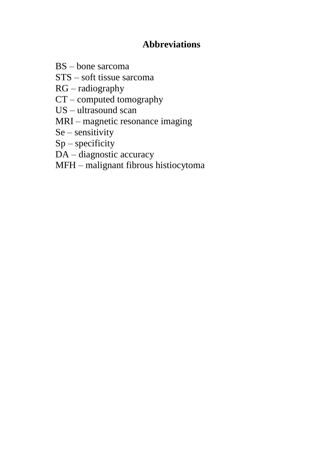## **Abbreviations**

BS – bone sarcoma

STS – soft tissue sarcoma

RG – radiography

CT – computed tomography

US – ultrasound scan

MRI – magnetic resonance imaging

Se – sensitivity

 $Sp$  – specificity

DA – diagnostic accuracy

MFH – malignant fibrous histiocytoma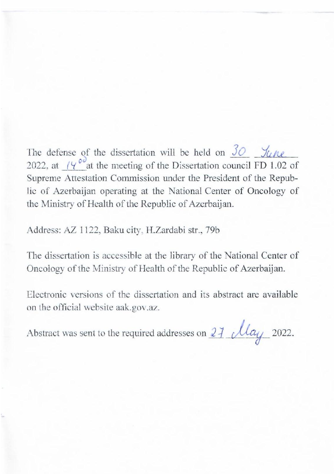$T_{\rm eff}$  defense of the dissertation will be held on  $\sim$ The defense of the dissertation will be neta on  $\overline{2Q}$  . June 2022, at  $(4^{\circ})^{\circ}$  at the meeting of the Dissertation council FD 1.02 of Supreme Attestation Commission under the President of the Repub-It is of Azerbaijan operating at the National Center of Oncology of the Ministry of Health of the Republic of Azerbaijan.

Address: AZ 1122, Baku city, H.Zardabi str., 79b

The dissertation is accessible at the library of the National Center of Oncology of the Ministry of Health of the Republic of Azerbaijan.

Electronic versions of the dissertation and its abstract are available on the official website aak.gov.az.

Abstract was sent to the required addresses on  $2\frac{7}{10}$   $\frac{1}{2022}$ .